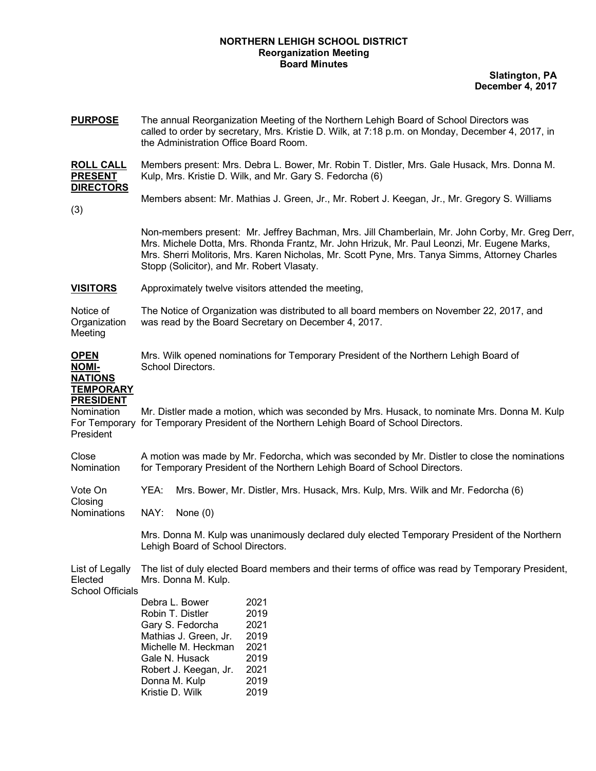#### **NORTHERN LEHIGH SCHOOL DISTRICT Reorganization Meeting Board Minutes**

**Slatington, PA December 4, 2017**

**PURPOSE** The annual Reorganization Meeting of the Northern Lehigh Board of School Directors was called to order by secretary, Mrs. Kristie D. Wilk, at 7:18 p.m. on Monday, December 4, 2017, in the Administration Office Board Room.

**ROLL CALL** Members present: Mrs. Debra L. Bower, Mr. Robin T. Distler, Mrs. Gale Husack, Mrs. Donna M. **PRESENT** Kulp, Mrs. Kristie D. Wilk, and Mr. Gary S. Fedorcha (6) **DIRECTORS**

Members absent: Mr. Mathias J. Green, Jr., Mr. Robert J. Keegan, Jr., Mr. Gregory S. Williams

(3)

Non-members present: Mr. Jeffrey Bachman, Mrs. Jill Chamberlain, Mr. John Corby, Mr. Greg Derr, Mrs. Michele Dotta, Mrs. Rhonda Frantz, Mr. John Hrizuk, Mr. Paul Leonzi, Mr. Eugene Marks, Mrs. Sherri Molitoris, Mrs. Karen Nicholas, Mr. Scott Pyne, Mrs. Tanya Simms, Attorney Charles Stopp (Solicitor), and Mr. Robert Vlasaty.

#### **VISITORS** Approximately twelve visitors attended the meeting,

Notice of The Notice of Organization was distributed to all board members on November 22, 2017, and Organization was read by the Board Secretary on December 4, 2017. Meeting

**OPEN** Mrs. Wilk opened nominations for Temporary President of the Northern Lehigh Board of **NOMI-** School Directors. **NATIONS**

# **TEMPORARY PRESIDENT**

Nomination Mr. Distler made a motion, which was seconded by Mrs. Husack, to nominate Mrs. Donna M. Kulp For Temporary for Temporary President of the Northern Lehigh Board of School Directors. President

Close A motion was made by Mr. Fedorcha, which was seconded by Mr. Distler to close the nominations Nomination for Temporary President of the Northern Lehigh Board of School Directors.

Vote On YEA: Mrs. Bower, Mr. Distler, Mrs. Husack, Mrs. Kulp, Mrs. Wilk and Mr. Fedorcha (6)

Nominations NAY: None (0)

Mrs. Donna M. Kulp was unanimously declared duly elected Temporary President of the Northern Lehigh Board of School Directors.

List of Legally The list of duly elected Board members and their terms of office was read by Temporary President, Elected Mrs. Donna M. Kulp.

School Officials

Closing

| Debra L. Bower        | 2021 |
|-----------------------|------|
| Robin T. Distler      | 2019 |
| Gary S. Fedorcha      | 2021 |
| Mathias J. Green, Jr. | 2019 |
| Michelle M. Heckman   | 2021 |
| Gale N. Husack        | 2019 |
| Robert J. Keegan, Jr. | 2021 |
| Donna M. Kulp         | 2019 |
| Kristie D. Wilk       | 2019 |
|                       |      |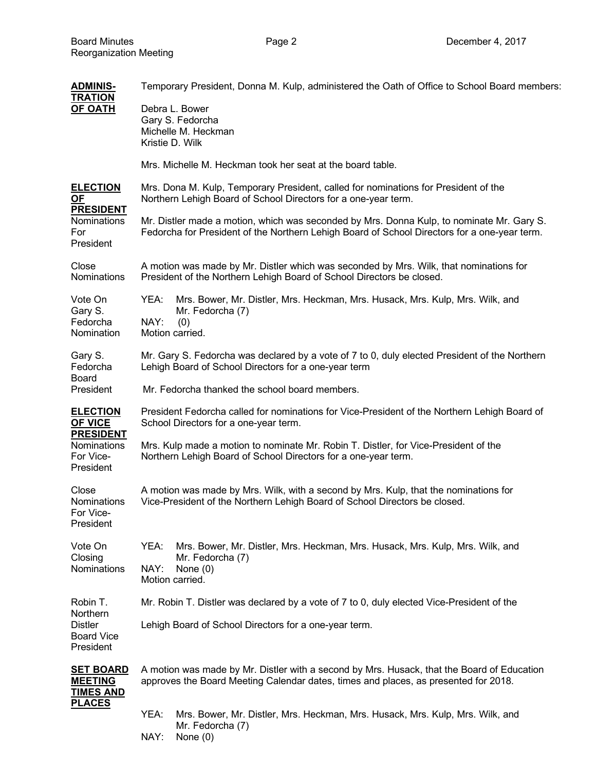| <b>ADMINIS-</b><br><b>TRATION</b>                                                              | Temporary President, Donna M. Kulp, administered the Oath of Office to School Board members:                                                                                              |  |
|------------------------------------------------------------------------------------------------|-------------------------------------------------------------------------------------------------------------------------------------------------------------------------------------------|--|
| <b>OF OATH</b>                                                                                 | Debra L. Bower<br>Gary S. Fedorcha<br>Michelle M. Heckman<br>Kristie D. Wilk                                                                                                              |  |
|                                                                                                | Mrs. Michelle M. Heckman took her seat at the board table.                                                                                                                                |  |
| <b>ELECTION</b><br>OF<br><b>PRESIDENT</b><br>Nominations<br>For<br>President                   | Mrs. Dona M. Kulp, Temporary President, called for nominations for President of the<br>Northern Lehigh Board of School Directors for a one-year term.                                     |  |
|                                                                                                | Mr. Distler made a motion, which was seconded by Mrs. Donna Kulp, to nominate Mr. Gary S.<br>Fedorcha for President of the Northern Lehigh Board of School Directors for a one-year term. |  |
| Close<br><b>Nominations</b>                                                                    | A motion was made by Mr. Distler which was seconded by Mrs. Wilk, that nominations for<br>President of the Northern Lehigh Board of School Directors be closed.                           |  |
| Vote On<br>Gary S.<br>Fedorcha<br>Nomination                                                   | YEA:<br>Mrs. Bower, Mr. Distler, Mrs. Heckman, Mrs. Husack, Mrs. Kulp, Mrs. Wilk, and<br>Mr. Fedorcha (7)<br>NAY:<br>(0)<br>Motion carried.                                               |  |
| Gary S.<br>Fedorcha<br><b>Board</b><br>President                                               | Mr. Gary S. Fedorcha was declared by a vote of 7 to 0, duly elected President of the Northern<br>Lehigh Board of School Directors for a one-year term                                     |  |
|                                                                                                | Mr. Fedorcha thanked the school board members.                                                                                                                                            |  |
| <b>ELECTION</b><br><b>OF VICE</b><br><b>PRESIDENT</b><br>Nominations<br>For Vice-<br>President | President Fedorcha called for nominations for Vice-President of the Northern Lehigh Board of<br>School Directors for a one-year term.                                                     |  |
|                                                                                                | Mrs. Kulp made a motion to nominate Mr. Robin T. Distler, for Vice-President of the<br>Northern Lehigh Board of School Directors for a one-year term.                                     |  |
| Close<br>Nominations<br>For Vice-<br>President                                                 | A motion was made by Mrs. Wilk, with a second by Mrs. Kulp, that the nominations for<br>Vice-President of the Northern Lehigh Board of School Directors be closed.                        |  |
| Vote On<br>Closing<br><b>Nominations</b>                                                       | YEA:<br>Mrs. Bower, Mr. Distler, Mrs. Heckman, Mrs. Husack, Mrs. Kulp, Mrs. Wilk, and<br>Mr. Fedorcha (7)<br>NAY:<br>None $(0)$<br>Motion carried.                                        |  |
| Robin T.<br>Northern<br><b>Distler</b><br><b>Board Vice</b><br>President                       | Mr. Robin T. Distler was declared by a vote of 7 to 0, duly elected Vice-President of the                                                                                                 |  |
|                                                                                                | Lehigh Board of School Directors for a one-year term.                                                                                                                                     |  |
| <b>SET BOARD</b><br><b>MEETING</b><br><b>TIMES AND</b>                                         | A motion was made by Mr. Distler with a second by Mrs. Husack, that the Board of Education<br>approves the Board Meeting Calendar dates, times and places, as presented for 2018.         |  |
| <u>PLACES</u>                                                                                  | YEA:<br>Mrs. Bower, Mr. Distler, Mrs. Heckman, Mrs. Husack, Mrs. Kulp, Mrs. Wilk, and<br>Mr. Fedorcha (7)<br>NAY:<br>None $(0)$                                                           |  |